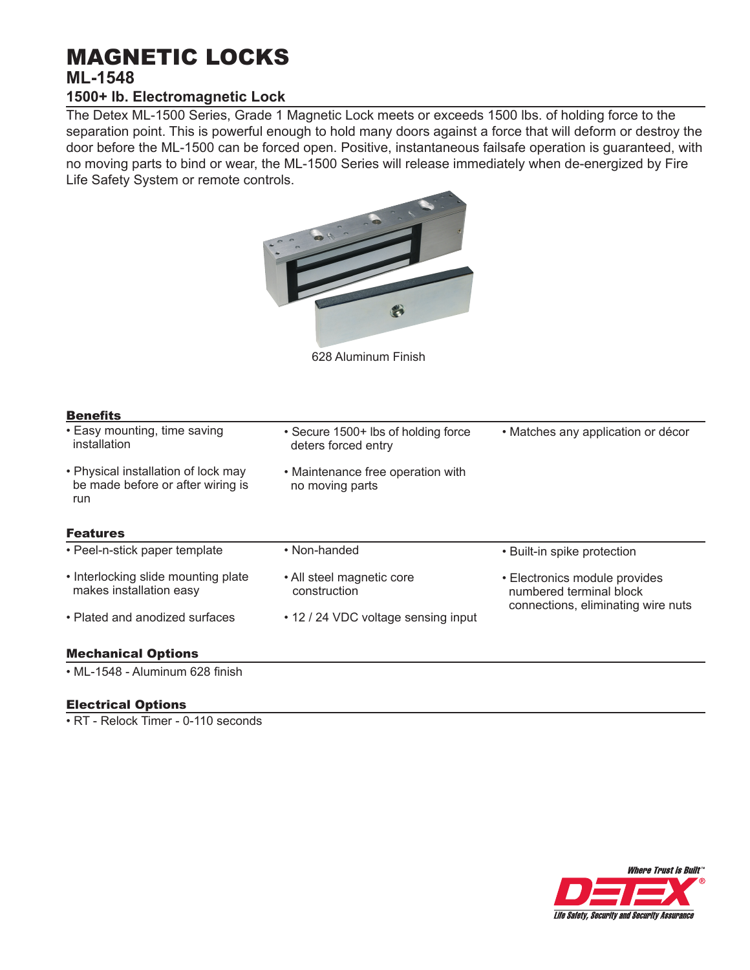# MAGNETIC LOCKS **ML-1548**

# **1500+ lb. Electromagnetic Lock**

The Detex ML-1500 Series, Grade 1 Magnetic Lock meets or exceeds 1500 lbs. of holding force to the separation point. This is powerful enough to hold many doors against a force that will deform or destroy the door before the ML-1500 can be forced open. Positive, instantaneous failsafe operation is guaranteed, with no moving parts to bind or wear, the ML-1500 Series will release immediately when de-energized by Fire Life Safety System or remote controls.



628 Aluminum Finish

| • Easy mounting, time saving<br>installation                                    | • Secure 1500+ lbs of holding force<br>deters forced entry | • Matches any application or décor                                                             |
|---------------------------------------------------------------------------------|------------------------------------------------------------|------------------------------------------------------------------------------------------------|
| • Physical installation of lock may<br>be made before or after wiring is<br>run | • Maintenance free operation with<br>no moving parts       |                                                                                                |
| <b>Features</b>                                                                 |                                                            |                                                                                                |
| • Peel-n-stick paper template                                                   | • Non-handed                                               | • Built-in spike protection                                                                    |
| • Interlocking slide mounting plate<br>makes installation easy                  | • All steel magnetic core<br>construction                  | • Electronics module provides<br>numbered terminal block<br>connections, eliminating wire nuts |
| • Plated and anodized surfaces                                                  | • 12 / 24 VDC voltage sensing input                        |                                                                                                |

Mechanical Options

• ML-1548 - Aluminum 628 finish

# Electrical Options

• RT - Relock Timer - 0-110 seconds